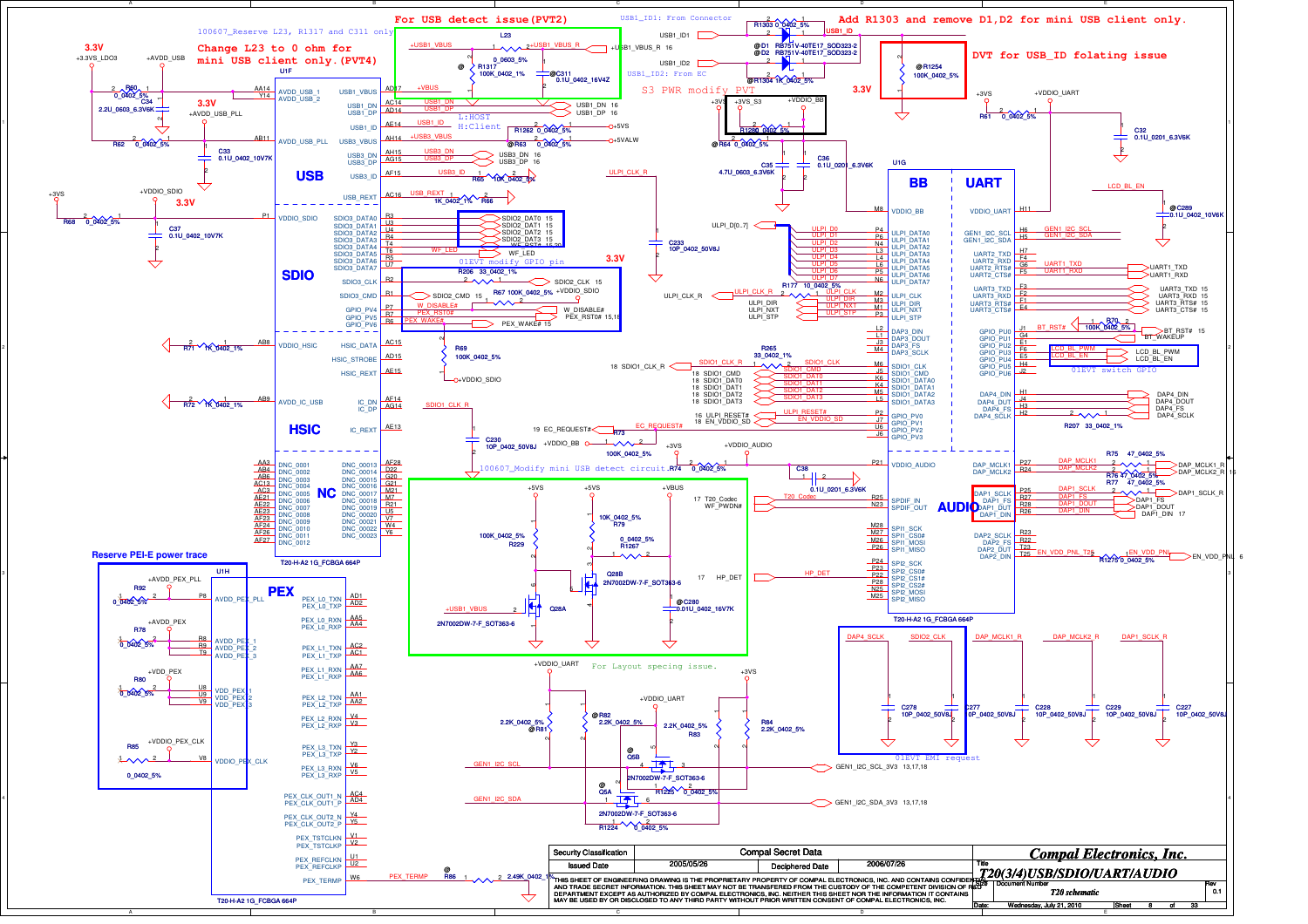